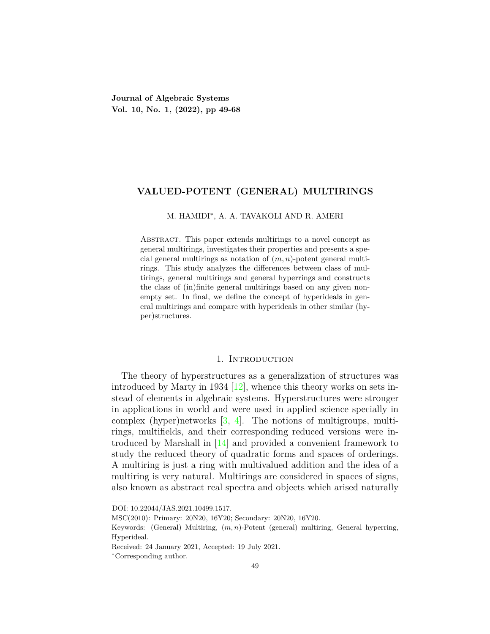**Journal of Algebraic Systems Vol. 10, No. 1, (2022), pp 49-68**

## **VALUED-POTENT (GENERAL) MULTIRINGS**

#### M. HAMIDI*∗* , A. A. TAVAKOLI AND R. AMERI

Abstract. This paper extends multirings to a novel concept as general multirings, investigates their properties and presents a special general multirings as notation of (*m, n*)-potent general multirings. This study analyzes the differences between class of multirings, general multirings and general hyperrings and constructs the class of (in)finite general multirings based on any given nonempty set. In final, we define the concept of hyperideals in general multirings and compare with hyperideals in other similar (hyper)structures.

#### 1. INTRODUCTION

The theory of hyperstructures as a generalization of structures was introduced by Marty in 1934  $[12]$ , whence this theory works on sets instead of elements in algebraic systems. Hyperstructures were stronger in applications in world and were used in applied science specially in complex (hyper)networks [[3](#page-18-1), [4\]](#page-18-2). The notions of multigroups, multirings, multifields, and their corresponding reduced versions were introduced by Marshall in [\[14\]](#page-18-3) and provided a convenient framework to study the reduced theory of quadratic forms and spaces of orderings. A multiring is just a ring with multivalued addition and the idea of a multiring is very natural. Multirings are considered in spaces of signs, also known as abstract real spectra and objects which arised naturally

DOI: 10.22044/JAS.2021.10499.1517.

MSC(2010): Primary: 20N20, 16Y20; Secondary: 20N20, 16Y20.

Keywords: (General) Multiring, (*m, n*)-Potent (general) multiring, General hyperring, Hyperideal.

Received: 24 January 2021, Accepted: 19 July 2021.

*<sup>∗</sup>*Corresponding author.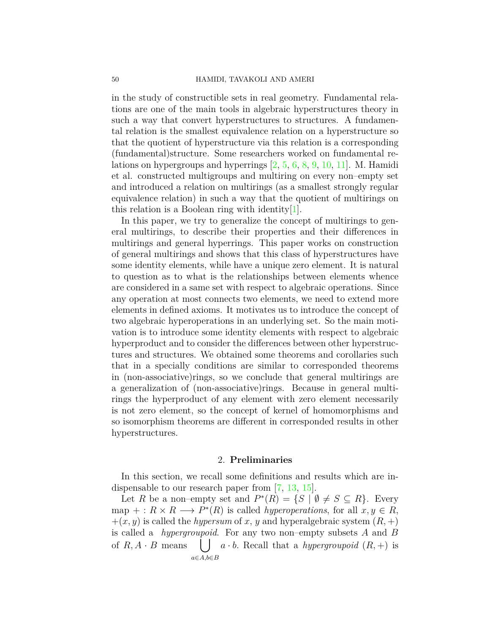in the study of constructible sets in real geometry. Fundamental relations are one of the main tools in algebraic hyperstructures theory in such a way that convert hyperstructures to structures. A fundamental relation is the smallest equivalence relation on a hyperstructure so that the quotient of hyperstructure via this relation is a corresponding (fundamental)structure. Some researchers worked on fundamental relations on hypergroups and hyperrings [[2](#page-18-4), [5,](#page-18-5) [6](#page-18-6), [8](#page-18-7), [9,](#page-18-8) [10,](#page-18-9) [11](#page-18-10)]. M. Hamidi et al. constructed multigroups and multiring on every non–empty set and introduced a relation on multirings (as a smallest strongly regular equivalence relation) in such a way that the quotient of multirings on this relation is a Boolean ring with identity[\[1](#page-18-11)].

In this paper, we try to generalize the concept of multirings to general multirings, to describe their properties and their differences in multirings and general hyperrings. This paper works on construction of general multirings and shows that this class of hyperstructures have some identity elements, while have a unique zero element. It is natural to question as to what is the relationships between elements whence are considered in a same set with respect to algebraic operations. Since any operation at most connects two elements, we need to extend more elements in defined axioms. It motivates us to introduce the concept of two algebraic hyperoperations in an underlying set. So the main motivation is to introduce some identity elements with respect to algebraic hyperproduct and to consider the differences between other hyperstructures and structures. We obtained some theorems and corollaries such that in a specially conditions are similar to corresponded theorems in (non-associative)rings, so we conclude that general multirings are a generalization of (non-associative)rings. Because in general multirings the hyperproduct of any element with zero element necessarily is not zero element, so the concept of kernel of homomorphisms and so isomorphism theorems are different in corresponded results in other hyperstructures.

#### 2. **Preliminaries**

In this section, we recall some definitions and results which are indispensable to our research paper from [[7,](#page-18-12) [13,](#page-18-13) [15](#page-18-14)].

Let *R* be a non–empty set and  $P^*(R) = \{S \mid \emptyset \neq S \subseteq R\}$ . Every  $\text{map } \pm : R \times R \longrightarrow P^*(R) \text{ is called hyperoperations, for all } x, y \in R,$  $+(x, y)$  is called the *hypersum* of *x*, *y* and hyperalgebraic system  $(R, +)$ is called a *hypergroupoid*. For any two non–empty subsets *A* and *B* of  $R, A \cdot B$  means *a∈A,b∈B*  $\left| \int a \cdot b$ . Recall that a *hypergroupoid*  $(R, +)$  is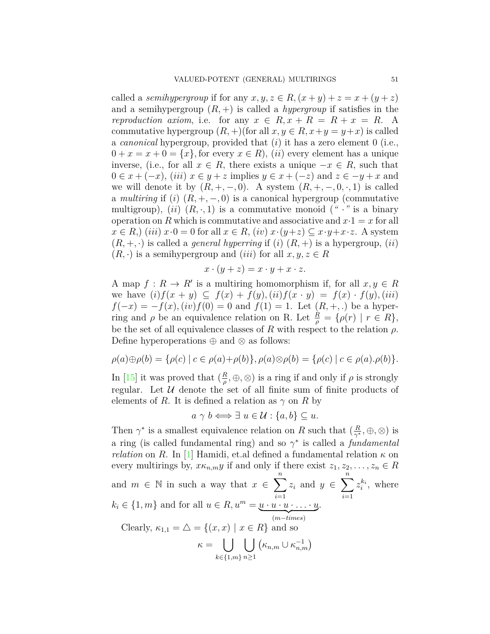called a *semihypergroup* if for any  $x, y, z \in R$ ,  $(x + y) + z = x + (y + z)$ and a semihypergroup  $(R,+)$  is called a *hypergroup* if satisfies in the *reproduction axiom,* i.e. for any  $x \in R$ ,  $x + R = R + x = R$ . A commutative hypergroup  $(R, +)$  (for all  $x, y \in R$ ,  $x + y = y + x$ ) is called a *canonical* hypergroup, provided that (*i*) it has a zero element 0 (i.e.,  $0 + x = x + 0 = \{x\}$ , for every  $x \in R$ ), *(ii)* every element has a unique inverse, (i.e., for all *x ∈ R*, there exists a unique *−x ∈ R*, such that  $0 \in x + (-x)$ , (*iii*)  $x \in y + z$  implies  $y \in x + (-z)$  and  $z \in -y + x$  and we will denote it by  $(R, +, -, 0)$ . A system  $(R, +, -, 0, \cdot, 1)$  is called a *multiring* if (*i*)  $(R, +, -, 0)$  is a canonical hypergroup (commutative multigroup),  $(ii)$   $(R, \cdot, 1)$  is a commutative monoid  $(* \cdot"$  is a binary operation on R which is commutative and associative and  $x \cdot 1 = x$  for all  $x \in R$ ,) (*iii*)  $x \cdot 0 = 0$  for all  $x \in R$ , (*iv*)  $x \cdot (y+z) \subseteq x \cdot y + x \cdot z$ . A system  $(R, +, \cdot)$  is called a *general hyperring* if (*i*)  $(R, +)$  is a hypergroup, (*ii*)  $(R, \cdot)$  is a semihypergroup and  $(iii)$  for all  $x, y, z \in R$ 

$$
x \cdot (y + z) = x \cdot y + x \cdot z.
$$

A map  $f: R \to R'$  is a multiring homomorphism if, for all  $x, y \in R$ we have  $(i) f(x + y) \subseteq f(x) + f(y), (ii) f(x \cdot y) = f(x) \cdot f(y), (iii)$  $f(-x) = -f(x)$ ,  $(iv) f(0) = 0$  and  $f(1) = 1$ . Let  $(R, +, .)$  be a hyperring and  $\rho$  be an equivalence relation on R. Let  $\frac{R}{\rho} = \{\rho(r) \mid r \in R\},\$ be the set of all equivalence classes of  $R$  with respect to the relation  $\rho$ . Define hyperoperations *⊕* and *⊗* as follows:

$$
\rho(a)\oplus\rho(b) = {\rho(c) | c \in \rho(a)+\rho(b)}, \rho(a)\otimes\rho(b) = {\rho(c) | c \in \rho(a). \rho(b)}.
$$

In [\[15\]](#page-18-14) it was proved that  $\left(\frac{R}{a}\right)$  $\frac{R}{\rho}, \oplus, \otimes$ ) is a ring if and only if  $\rho$  is strongly regular. Let *U* denote the set of all finite sum of finite products of elements of *R*. It is defined a relation as  $\gamma$  on *R* by

 $a \gamma b \Longleftrightarrow \exists u \in \mathcal{U} : \{a, b\} \subseteq u.$ 

Then  $\gamma^*$  is a smallest equivalence relation on *R* such that  $\left(\frac{R}{\gamma^*}\right)$ *γ <sup>∗</sup> , ⊕, ⊗*) is a ring (is called fundamental ring) and so *γ ∗* is called a *fundamental relation* on *R*. In [[1\]](#page-18-11) Hamidi, et.al defined a fundamental relation  $\kappa$  on every multirings by,  $x\kappa_{n,m}y$  if and only if there exist  $z_1, z_2, \ldots, z_n \in R$ and  $m \in \mathbb{N}$  in such a way that  $x \in \sum_{n=1}^{\infty}$ *i*=1  $z_i$  and  $y \in \sum^n$ *i*=1  $z_i^{k_i}$ , where  $k_i \in \{1, m\}$  and for all  $u \in R$ ,  $u^m = \underbrace{u \cdot u \cdot u \cdot \ldots \cdot u}_{(m-times)}$ . Clearly,  $\kappa_{1,1} = \Delta = \{(x, x) \mid x \in R\}$  and so *κ* =  $|$  | *k∈{*1*,m}* ∪ *n≥*1  $\left(\kappa_{n,m}\cup\kappa_{n,m}^{-1}\right)$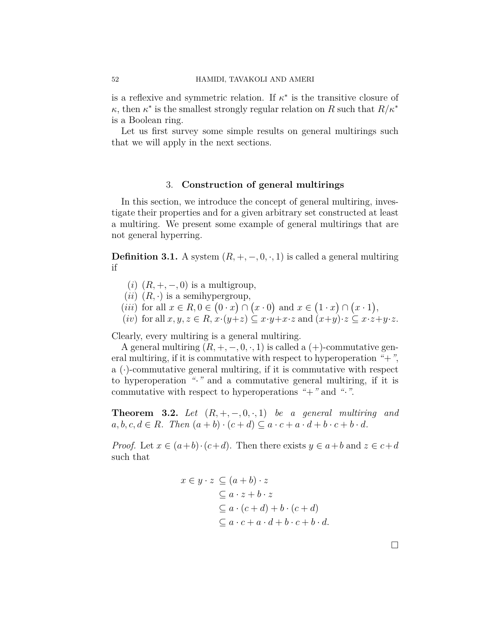is a reflexive and symmetric relation. If  $\kappa^*$  is the transitive closure of *κ*, then  $\kappa^*$  is the smallest strongly regular relation on *R* such that  $R/\kappa^*$ is a Boolean ring.

Let us first survey some simple results on general multirings such that we will apply in the next sections.

## 3. **Construction of general multirings**

In this section, we introduce the concept of general multiring, investigate their properties and for a given arbitrary set constructed at least a multiring. We present some example of general multirings that are not general hyperring.

**Definition 3.1.** A system  $(R, +, -, 0, \cdot, 1)$  is called a general multiring if

- (*i*)  $(R, +, -, 0)$  is a multigroup,
- $(ii)$   $(R, \cdot)$  is a semihypergroup,
- $(iii)$  for all  $x \in R, 0 \in (0 \cdot x) \cap (x \cdot 0)$  and  $x \in (1 \cdot x) \cap (x \cdot 1)$ ,
- (*iv*) for all  $x, y, z \in R$ ,  $x \cdot (y + z) \subseteq x \cdot y + x \cdot z$  and  $(x+y) \cdot z \subseteq x \cdot z + y \cdot z$ .

Clearly, every multiring is a general multiring.

A general multiring  $(R, +, -, 0, \cdot, 1)$  is called a  $(+)$ -commutative general multiring, if it is commutative with respect to hyperoperation *"*+*"*, a  $(\cdot)$ -commutative general multiring, if it is commutative with respect to hyperoperation *"·"* and a commutative general multiring, if it is commutative with respect to hyperoperations *"*+*"* and *"·"*.

**Theorem 3.2.** Let  $(R, +, -, 0, \cdot, 1)$  be a general multiring and  $a, b, c, d \in R$ . Then  $(a + b) \cdot (c + d) \subseteq a \cdot c + a \cdot d + b \cdot c + b \cdot d$ .

*Proof.* Let  $x \in (a+b) \cdot (c+d)$ . Then there exists  $y \in a+b$  and  $z \in c+d$ such that

$$
x \in y \cdot z \subseteq (a+b) \cdot z
$$
  
\n
$$
\subseteq a \cdot z + b \cdot z
$$
  
\n
$$
\subseteq a \cdot (c+d) + b \cdot (c+d)
$$
  
\n
$$
\subseteq a \cdot c + a \cdot d + b \cdot c + b \cdot d.
$$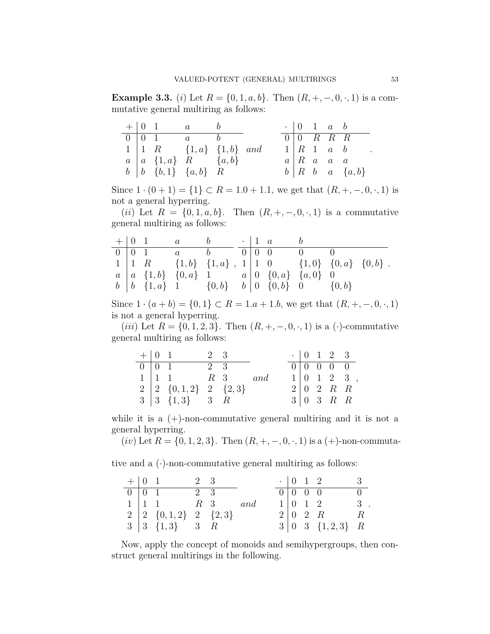<span id="page-4-0"></span>**Example 3.3.** (*i*) Let  $R = \{0, 1, a, b\}$ . Then  $(R, +, -, 0, \cdot, 1)$  is a commutative general multiring as follows:

|  | $+ 0 1 a b$                         |  | $\cdot$   0   1   a   b             |  |                                                  |
|--|-------------------------------------|--|-------------------------------------|--|--------------------------------------------------|
|  | $0 \mid 0 \quad 1$ $a$ $b$          |  | $0 \vert 0 \quad R \quad R \quad R$ |  |                                                  |
|  | $1   1 R \t{1, a} \t{1, b} \t{and}$ |  |                                     |  | $1 \rvert R \rvert 1 \rvert a \rvert b \rvert 1$ |
|  | $a \mid a \{1,a\}$ R $\{a,b\}$      |  |                                     |  | $a \mid R$ a a a                                 |
|  | $b \mid b \{b,1\} \{a,b\}$ R        |  |                                     |  | $b \mid R \mid b \mid a \mid \{a, b\}$           |

Since  $1 \cdot (0 + 1) = \{1\} \subset R = 1.0 + 1.1$ , we get that  $(R, +, -, 0, \cdot, 1)$  is not a general hyperring.

(*ii*) Let  $R = \{0, 1, a, b\}$ . Then  $(R, +, -, 0, \cdot, 1)$  is a commutative general multiring as follows:

|  | $+ 0 1 a b$ |                                                                                                         |  | $\cdot$   1 a b |  |  |
|--|-------------|---------------------------------------------------------------------------------------------------------|--|-----------------|--|--|
|  |             | $0 \mid 0 \quad 1$ $a$ $b$ $0 \mid 0 \quad 0$                                                           |  |                 |  |  |
|  |             | $1 \mid 1 \quad R$ $\{1,b\} \quad \{1,a\}$ , $1 \mid 1 \quad 0$ $\{1,0\} \quad \{0,a\} \quad \{0,b\}$ . |  |                 |  |  |
|  |             | $a \mid a \{1,b\}$ $\{0,a\}$ 1 $a \mid 0 \{0,a\}$ $\{a,0\}$ 0                                           |  |                 |  |  |
|  |             | $b \mid b \{1, a\}$ 1 $\{0, b\}$ $b \mid 0 \{0, b\}$ 0 $\{0, b\}$                                       |  |                 |  |  |

Since  $1 \cdot (a + b) = \{0, 1\} \subset R = 1.a + 1.b$ , we get that  $(R, +, -, 0, \cdot, 1)$ is not a general hyperring.

(*iii*) Let  $R = \{0, 1, 2, 3\}$ . Then  $(R, +, -, 0, \cdot, 1)$  is a (·)-commutative general multiring as follows:

| $+$ 0 1 |                                                               | 2 3 |     |  | $\cdot$   0   1   2   3             |                                                 |
|---------|---------------------------------------------------------------|-----|-----|--|-------------------------------------|-------------------------------------------------|
|         | $0 \mid 0 \mid 1$                                             | 2 3 |     |  | $0 \vert 0 \vert 0 \vert 0 \vert 0$ |                                                 |
|         | $1 \mid 1 \quad 1 \qquad R \quad 3$                           |     | and |  |                                     | $1 \begin{pmatrix} 0 & 1 & 2 & 3 \end{pmatrix}$ |
|         | $2 \begin{bmatrix} 2 & \{0,1,2\} & 2 & \{2,3\} \end{bmatrix}$ |     |     |  | $2 \mid 0 \quad 2 \quad R \quad R$  |                                                 |
|         | $3 \mid 3 \{1,3\}$ 3 R                                        |     |     |  | $3 \mid 0 \quad 3 \quad R \quad R$  |                                                 |

while it is a  $(+)$ -non-commutative general multiring and it is not a general hyperring.

 $(iv)$  Let  $R = \{0, 1, 2, 3\}$ . Then  $(R, +, -, 0, \cdot, 1)$  is a  $(+)$ -non-commuta-

tive and a  $(\cdot)$ -non-commutative general multiring as follows:

| $+$ 0 1 |                                                               | 2 3 |     |  |                                                 |          |
|---------|---------------------------------------------------------------|-----|-----|--|-------------------------------------------------|----------|
|         | $0 \mid 0 \mid 1$                                             | 2 3 |     |  | $\boxed{0}$ $\boxed{0}$ $\boxed{0}$ $\boxed{0}$ | $\Omega$ |
|         | $1 \mid 1 \quad 1 \qquad R \quad 3$                           |     | and |  | $1   0 1 2 3$ .                                 |          |
|         | $2 \begin{bmatrix} 2 & \{0,1,2\} & 2 & \{2,3\} \end{bmatrix}$ |     |     |  | $2 \begin{bmatrix} 0 & 2 & R \end{bmatrix}$ R   |          |
|         | $3 \begin{bmatrix} 3 & \{1,3\} & 3 & R \end{bmatrix}$         |     |     |  | $3 0 \ 3 \ \{1,2,3\} \ R$                       |          |

Now, apply the concept of monoids and semihypergroups, then construct general multirings in the following.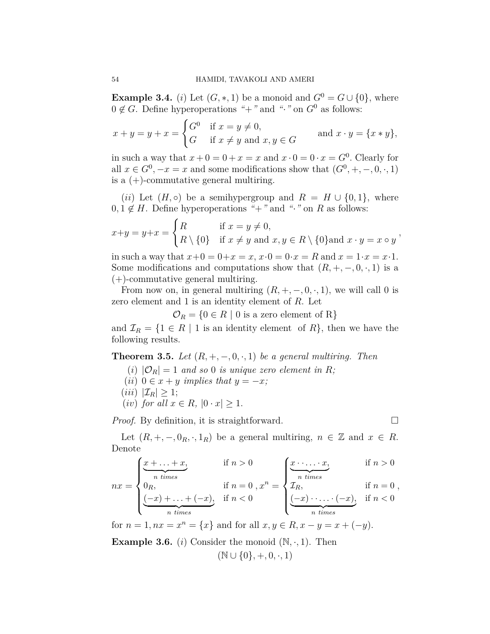**Example 3.4.** (*i*) Let  $(G, *, 1)$  be a monoid and  $G^0 = G \cup \{0\}$ , where  $0 \notin G$ . Define hyperoperations "+" and "<sup>*\**</sup> on  $G^0$  as follows:

$$
x + y = y + x = \begin{cases} G^0 & \text{if } x = y \neq 0, \\ G & \text{if } x \neq y \text{ and } x, y \in G \end{cases}
$$
 and  $x \cdot y = \{x * y\},$ 

in such a way that  $x + 0 = 0 + x = x$  and  $x \cdot 0 = 0 \cdot x = G^0$ . Clearly for all  $x \in G^0$ ,  $-x = x$  and some modifications show that  $(G^0, +, -, 0, \cdot, 1)$ is a  $(+)$ -commutative general multiring.

(*ii*) Let  $(H, \circ)$  be a semihypergroup and  $R = H \cup \{0, 1\}$ , where  $0, 1 \notin H$ . Define hyperoperations "+" and "·" on R as follows:

$$
x+y = y+x = \begin{cases} R & \text{if } x = y \neq 0, \\ R \setminus \{0\} & \text{if } x \neq y \text{ and } x, y \in R \setminus \{0\} \text{and } x \cdot y = x \circ y \end{cases}
$$

in such a way that  $x+0 = 0+x = x$ ,  $x \cdot 0 = 0 \cdot x = R$  and  $x = 1 \cdot x = x \cdot 1$ . Some modifications and computations show that  $(R, +, -, 0, \cdot, 1)$  is a (+)-commutative general multiring.

From now on, in general multiring  $(R, +, -, 0, \cdot, 1)$ , we will call 0 is zero element and 1 is an identity element of *R*. Let

 $\mathcal{O}_R = \{0 \in R \mid 0 \text{ is a zero element of } R\}$ 

and  $\mathcal{I}_R = \{1 \in R \mid 1 \text{ is an identity element of } R\}$ , then we have the following results.

<span id="page-5-0"></span>**Theorem 3.5.** *Let*  $(R, +, -, 0, \cdot, 1)$  *be a general multiring. Then* 

- (*i*)  $|\mathcal{O}_R| = 1$  *and so* 0 *is unique zero element in R*;
- $(iii)$   $0 \in x + y$  *implies that*  $y = -x$ *;*
- $(iii)$   $|\mathcal{I}_R| \geq 1$ ;
- $(iv)$  *for all*  $x \in R$ *,*  $|0 \cdot x| \geq 1$ *.*

*Proof.* By definition, it is straightforward. □

Let  $(R, +, -, 0_R, \cdot, 1_R)$  be a general multiring,  $n \in \mathbb{Z}$  and  $x \in R$ . Denote

$$
nx = \begin{cases} \underbrace{x + \ldots + x}_{n \text{ times}}, & \text{if } n > 0 \\ 0_R, & \text{if } n = 0 \\ \underbrace{(-x) + \ldots + (-x)}_{n \text{ times}}, & \text{if } n < 0 \end{cases} \quad \text{if } n = 0 \\ \underbrace{x \cdot \ldots \cdot x}_{n \text{ times}}, & \text{if } n = 0 \\ \underbrace{(-x) \cdot \ldots \cdot (-x)}_{n \text{ times}}, & \text{if } n < 0 \end{cases}
$$

for  $n = 1, nx = x^n = \{x\}$  and for all  $x, y \in R, x - y = x + (-y)$ .

**Example 3.6.** (*i*) Consider the monoid  $(N, \cdot, 1)$ . Then (N *∪ {*0*},* +*,* 0*, ·,* 1)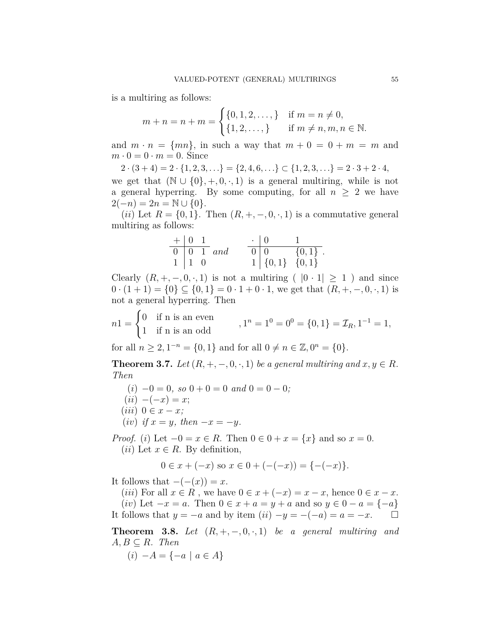is a multiring as follows:

$$
m + n = n + m = \begin{cases} \{0, 1, 2, \dots, \} & \text{if } m = n \neq 0, \\ \{1, 2, \dots, \} & \text{if } m \neq n, m, n \in \mathbb{N}. \end{cases}
$$

and  $m \cdot n = \{mn\}$ , in such a way that  $m + 0 = 0 + m = m$  and  $m \cdot 0 = 0 \cdot m = 0$ . Since

 $2 \cdot (3 + 4) = 2 \cdot \{1, 2, 3, \ldots\} = \{2, 4, 6, \ldots\} \subset \{1, 2, 3, \ldots\} = 2 \cdot 3 + 2 \cdot 4,$ we get that  $(N \cup \{0\}, +, 0, \cdot, 1)$  is a general multiring, while is not a general hyperring. By some computing, for all  $n \geq 2$  we have  $2(-n) = 2n = \mathbb{N} \cup \{0\}.$ 

(*ii*) Let  $R = \{0, 1\}$ . Then  $(R, +, -, 0, \cdot, 1)$  is a commutative general multiring as follows:

$$
\begin{array}{c|cc}\n+ & 0 & 1 \\
\hline\n0 & 0 & 1 \\
1 & 1 & 0\n\end{array} and \qquad\n\begin{array}{c|cc}\n\cdot & 0 & 1 \\
\hline\n0 & 0 & \{0, 1\} \\
1 & \{0, 1\} & \{0, 1\}\n\end{array}.
$$

Clearly  $(R, +, -, 0, \cdot, 1)$  is not a multiring  $(|0 \cdot 1| \geq 1)$  and since  $0 \cdot (1+1) = \{0\} \subseteq \{0,1\} = 0 \cdot 1 + 0 \cdot 1$ , we get that  $(R, +, -, 0, \cdot, 1)$  is not a general hyperring. Then

$$
n1 = \begin{cases} 0 & \text{if n is an even} \\ 1 & \text{if n is an odd} \end{cases}, 1^n = 1^0 = 0^0 = \{0, 1\} = \mathcal{I}_R, 1^{-1} = 1,
$$

for all  $n \ge 2, 1^{-n} = \{0, 1\}$  and for all  $0 \ne n \in \mathbb{Z}, 0^n = \{0\}.$ 

<span id="page-6-0"></span>**Theorem 3.7.** *Let*  $(R, +, -, 0, \cdot, 1)$  *be a general multiring and*  $x, y \in R$ *. Then*

- $(i) -0 = 0$ , so  $0 + 0 = 0$  and  $0 = 0 0$ ;
- $(iii) -(-x) = x;$
- $(iii)$  0  $\in$   $x x$ ;
- $(iv)$  *if*  $x = y$ *, then*  $-x = -y$ *.*

*Proof.* (*i*) Let  $-0 = x \in R$ . Then  $0 \in 0 + x = \{x\}$  and so  $x = 0$ . (*ii*) Let  $x \in R$ . By definition,

$$
0 \in x + (-x) \text{ so } x \in 0 + (-(-x)) = \{-(-x)\}.
$$

It follows that  $-(-x)$ ) = *x*.

(*iii*) For all  $x \in R$ , we have  $0 \in x + (-x) = x - x$ , hence  $0 \in x - x$ . (*iv*) Let  $-x = a$ . Then  $0 \in x + a = y + a$  and so  $y \in 0 - a = \{-a\}$ It follows that  $y = -a$  and by item  $(ii) -y = -(-a) = a = -x$ . □

<span id="page-6-1"></span>**Theorem 3.8.** Let  $(R, +, -, 0, \cdot, 1)$  be a general multiring and  $A, B \subseteq R$ *. Then* 

 $(i) -A = \{-a \mid a \in A\}$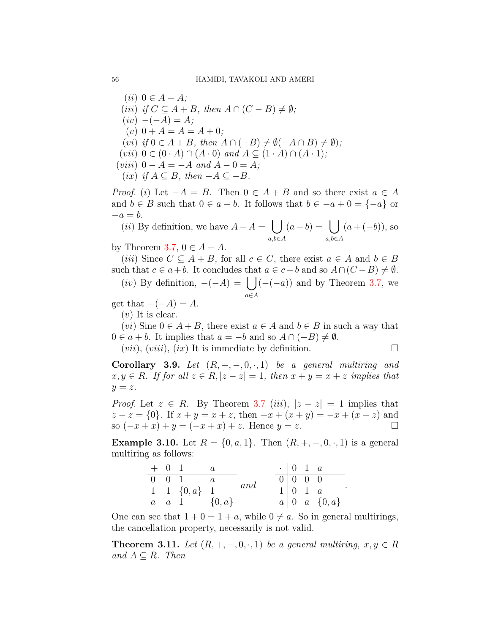$(iii)$   $0 \in A - A$ ;  $(iii)$  *if*  $C \subseteq A + B$ *, then*  $A \cap (C - B) \neq \emptyset$ *;*  $(iv) -(-A) = A;$  $(v)$  0 + *A* = *A* = *A* + 0;  $(vi)$  *if*  $0 \in A + B$ *, then*  $A \cap (-B) \neq \emptyset(-A \cap B) \neq \emptyset$ *;*  $(vii)$   $0 \in (0 \cdot A) \cap (A \cdot 0)$  and  $A \subseteq (1 \cdot A) \cap (A \cdot 1)$ ;  $(viii)$   $0 - A = -A$  and  $A - 0 = A$ ;  $(ix)$  *if*  $A ⊆ B$ *, then*  $-A ⊆ -B$ *.* 

*Proof.* (*i*) Let  $-A = B$ . Then  $0 \in A + B$  and so there exist  $a \in A$ and  $b \in B$  such that  $0 \in a + b$ . It follows that  $b \in -a + 0 = \{-a\}$  or *−a* = *b.*

(*ii*) By definition, we have  $A - A = \begin{bmatrix} \end{bmatrix}$ *a,b∈A*  $(a - b) = \begin{pmatrix} \end{pmatrix}$ *a,b∈A* (*a* + (*−b*)), so

by Theorem [3.7](#page-6-0),  $0 \in A - A$ .

 $(iii)$  Since  $C \subseteq A + B$ , for all  $c \in C$ , there exist  $a \in A$  and  $b \in B$ such that  $c \in a+b$ . It concludes that  $a \in c-b$  and so  $A \cap (C-B) \neq \emptyset$ .

(*iv*) By definition,  $−(−A) = ∫$ *a∈A* (*−*(*−a*)) and by Theorem [3.7,](#page-6-0) we

get that  $-(-A) = A$ .

(*v*) It is clear.

(*vi*) Sine  $0 \in A + B$ , there exist  $a \in A$  and  $b \in B$  in such a way that  $0 \in a + b$ . It implies that  $a = -b$  and so  $A \cap (-B) \neq \emptyset$ .

 $(vii)$ ,  $(viii)$ ,  $(ix)$  It is immediate by definition.

*.*

**Corollary 3.9.** *Let*  $(R, +, -, 0, \cdot, 1)$  *be a general multiring and*  $x, y \in R$ *. If for all*  $z \in R$ ,  $|z - z| = 1$ , then  $x + y = x + z$  *implies that*  $y = z$ .

*Proof.* Let  $z \in R$ . By Theorem [3.7](#page-6-0) (*iii*),  $|z - z| = 1$  implies that  $z - z = \{0\}$ . If  $x + y = x + z$ , then  $-x + (x + y) = -x + (x + z)$  and so  $(-x + x) + y = (-x + x) + z$ . Hence  $y = z$ . □

**Example 3.10.** Let  $R = \{0, a, 1\}$ . Then  $(R, +, -, 0, \cdot, 1)$  is a general multiring as follows:

| $+$ 0 1 |                                 |     | $\cdot$ 0 1 a |                                  |
|---------|---------------------------------|-----|---------------|----------------------------------|
|         | $\boxed{0}$ $\boxed{0}$ $1$ $a$ |     |               |                                  |
|         | $1 \mid 1 \{0,a\}$ 1            | and |               | $1 \mid 0 \quad 1 \quad a$       |
|         | $a \mid a \mid 1$ {0, a}        |     |               | $a \mid 0 \quad a \quad \{0,a\}$ |

One can see that  $1 + 0 = 1 + a$ , while  $0 \neq a$ . So in general multirings, the cancellation property, necessarily is not valid.

**Theorem 3.11.** Let  $(R, +, -, 0, \cdot, 1)$  be a general multiring,  $x, y \in R$  $and A ⊂ R$ *. Then*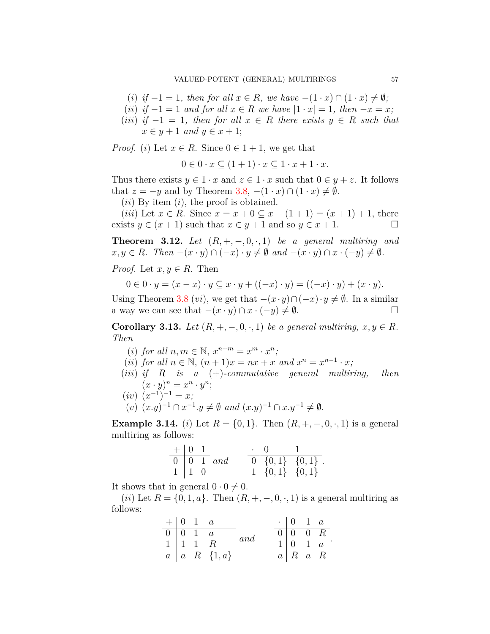- (*i*) *if*  $-1 = 1$ *, then for all*  $x \in R$ *, we have*  $-(1 \cdot x) \cap (1 \cdot x) \neq \emptyset$ *;*
- $(iii)$  *if*  $-1 = 1$  *and for all*  $x \in R$  *we have*  $|1 \cdot x| = 1$ *, then*  $-x = x$ *;*
- (*iii*) *if −*1 = 1*, then for all x ∈ R there exists y ∈ R such that*  $x \in y+1$  *and*  $y \in x+1$ ;

*Proof.* (*i*) Let  $x \in R$ . Since  $0 \in 1 + 1$ , we get that

 $0 \in 0 \cdot x \subseteq (1+1) \cdot x \subseteq 1 \cdot x + 1 \cdot x$ .

Thus there exists  $y \in 1 \cdot x$  and  $z \in 1 \cdot x$  such that  $0 \in y + z$ . It follows that  $z = -y$  and by Theorem [3.8](#page-6-1),  $-(1 \cdot x) \cap (1 \cdot x) \neq \emptyset$ .

(*ii*) By item (*i*), the proof is obtained.

 $(iii)$  Let  $x \in R$ . Since  $x = x + 0 \subseteq x + (1 + 1) = (x + 1) + 1$ , there exists  $y \in (x+1)$  such that  $x \in y+1$  and so  $y \in x+1$ . □

**Theorem 3.12.** Let  $(R, +, -, 0, \cdot, 1)$  be a general multiring and  $x, y \in R$ . Then  $-(x \cdot y) \cap (-x) \cdot y \neq \emptyset$  and  $-(x \cdot y) \cap x \cdot (-y) \neq \emptyset$ .

*Proof.* Let  $x, y \in R$ . Then

$$
0 \in 0 \cdot y = (x - x) \cdot y \subseteq x \cdot y + ((-x) \cdot y) = ((-x) \cdot y) + (x \cdot y).
$$

Using Theorem [3.8](#page-6-1) (*vi*), we get that  $-(x \cdot y) \cap (-x) \cdot y \neq \emptyset$ . In a similar a way we can see that  $-(x \cdot y) \cap x \cdot (-y) \neq \emptyset$ . □

<span id="page-8-0"></span>**Corollary 3.13.** *Let*  $(R, +, -, 0, \cdot, 1)$  *be a general multiring,*  $x, y \in R$ *. Then*

- (*i*) *for all*  $n, m \in \mathbb{N}, x^{n+m} = x^m \cdot x^n$ ;
- (*ii*) *for all*  $n \in \mathbb{N}$ ,  $(n+1)x = nx + x$  *and*  $x^n = x^{n-1} \cdot x$ ;
- (*iii*) *if R is a* (+)*-commutative general multiring, then*  $(x \cdot y)^n = x^n \cdot y^n;$
- $(iv)$   $(x^{-1})^{-1} = x;$  $(v)$   $(x,y)^{-1} \cap x^{-1}.y \neq \emptyset$  and  $(x,y)^{-1} \cap x. y^{-1} \neq \emptyset$ .

**Example 3.14.** (*i*) Let  $R = \{0, 1\}$ . Then  $(R, +, -, 0, \cdot, 1)$  is a general multiring as follows:

$$
\begin{array}{c|cc}\n+ & 0 & 1 \\
\hline\n0 & 0 & 1 \\
1 & 1 & 0\n\end{array}\n\quad and \quad\n\begin{array}{c|cc}\n\cdot & 0 & 1 \\
\hline\n0 & \{0, 1\} & \{0, 1\} \\
1 & \{0, 1\} & \{0, 1\}\n\end{array}.
$$

It shows that in general  $0 \cdot 0 \neq 0$ .

(*ii*) Let  $R = \{0, 1, a\}$ . Then  $(R, +, -, 0, \cdot, 1)$  is a general multiring as follows:

|  | $+ \begin{vmatrix} 0 & 1 & a \end{vmatrix}$                      |                           |     | $\cdot$   0   1   $a$      |                                             |
|--|------------------------------------------------------------------|---------------------------|-----|----------------------------|---------------------------------------------|
|  |                                                                  |                           | and | $0 \mid 0 \quad 0 \quad R$ |                                             |
|  | $\begin{array}{c cc} 0 & 0 & 1 & a \\ 1 & 1 & 1 & R \end{array}$ |                           |     |                            | $1 \begin{pmatrix} 0 & 1 & a \end{pmatrix}$ |
|  |                                                                  | $a \mid a \mid R \{1,a\}$ |     | $a \mid R \mid a \mid R$   |                                             |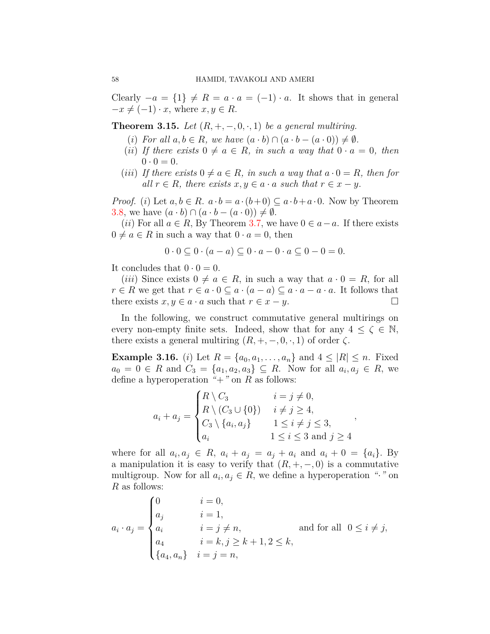Clearly  $-a = \{1\} \neq R = a \cdot a = (-1) \cdot a$ . It shows that in general  $-x \neq (-1) \cdot x$ , where  $x, y \in R$ .

**Theorem 3.15.** *Let*  $(R, +, -, 0, \cdot, 1)$  *be a general multiring.* 

- $(i)$  *For all*  $a, b \in R$ *, we have*  $(a \cdot b) \cap (a \cdot b (a \cdot 0)) \neq \emptyset$ *.*
- (*ii*) If there exists  $0 \neq a \in R$ , in such a way that  $0 \cdot a = 0$ , then  $0 \cdot 0 = 0.$
- (*iii*) If there exists  $0 \neq a \in R$ , in such a way that  $a \cdot 0 = R$ , then for  $all \ r \in R$ *, there exists*  $x, y \in a \cdot a$  *such that*  $r \in x - y$ .

*Proof.* (*i*) Let  $a, b \in R$ .  $a \cdot b = a \cdot (b+0) \subseteq a \cdot b + a \cdot 0$ . Now by Theorem [3.8](#page-6-1), we have  $(a \cdot b) \cap (a \cdot b - (a \cdot 0)) \neq \emptyset$ .

(*ii*) For all  $a \in R$ , By Theorem [3.7](#page-6-0), we have  $0 \in a − a$ . If there exists  $0 \neq a \in R$  in such a way that  $0 \cdot a = 0$ , then

$$
0 \cdot 0 \subseteq 0 \cdot (a - a) \subseteq 0 \cdot a - 0 \cdot a \subseteq 0 - 0 = 0.
$$

It concludes that  $0 \cdot 0 = 0$ .

(*iii*) Since exists  $0 \neq a \in R$ , in such a way that  $a \cdot 0 = R$ , for all  $r \in R$  we get that  $r \in a \cdot 0 \subseteq a \cdot (a - a) \subseteq a \cdot a - a \cdot a$ . It follows that there exists  $x, y \in a \cdot a$  such that  $r \in x - y$ .

In the following, we construct commutative general multirings on every non-empty finite sets. Indeed, show that for any  $4 \leq \zeta \in \mathbb{N}$ , there exists a general multiring  $(R, +, -, 0, \cdot, 1)$  of order  $\zeta$ .

<span id="page-9-0"></span>**Example 3.16.** (*i*) Let  $R = \{a_0, a_1, \ldots, a_n\}$  and  $4 \leq |R| \leq n$ . Fixed  $a_0 = 0 \in R$  and  $C_3 = \{a_1, a_2, a_3\} \subseteq R$ . Now for all  $a_i, a_j \in R$ , we define a hyperoperation  $"+'"$  on  $R$  as follows:

$$
a_i + a_j = \begin{cases} R \setminus C_3 & i = j \neq 0, \\ R \setminus (C_3 \cup \{0\}) & i \neq j \geq 4, \\ C_3 \setminus \{a_i, a_j\} & 1 \leq i \neq j \leq 3, \\ a_i & 1 \leq i \leq 3 \text{ and } j \geq 4 \end{cases}
$$

where for all  $a_i, a_j \in R$ ,  $a_i + a_j = a_j + a_i$  and  $a_i + 0 = \{a_i\}$ . By a manipulation it is easy to verify that  $(R, +, -, 0)$  is a commutative multigroup. Now for all  $a_i, a_j \in R$ , we define a hyperoperation " $\cdot$ " on *R* as follows:

$$
a_i \cdot a_j = \begin{cases} 0 & i = 0, \\ a_j & i = 1, \\ a_i & i = j \neq n, \\ a_4 & i = k, j \geq k+1, 2 \leq k, \\ \{a_4, a_n\} & i = j = n, \end{cases} \text{ and for all } 0 \leq i \neq j,
$$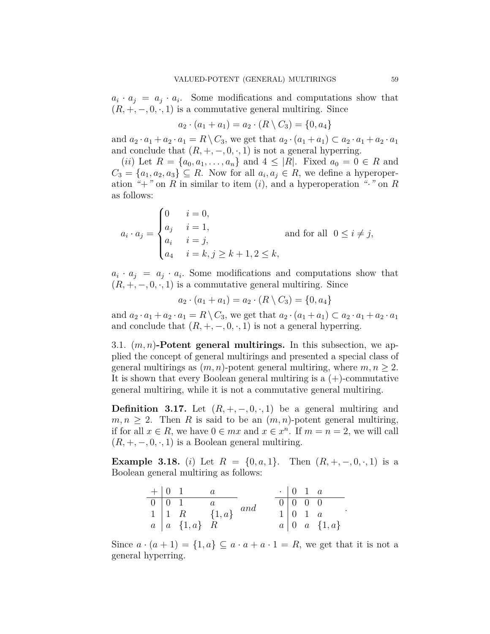$a_i \cdot a_j = a_j \cdot a_i$ . Some modifications and computations show that  $(R, +, -, 0, \cdot, 1)$  is a commutative general multiring. Since

$$
a_2 \cdot (a_1 + a_1) = a_2 \cdot (R \setminus C_3) = \{0, a_4\}
$$

and  $a_2 \cdot a_1 + a_2 \cdot a_1 = R \setminus C_3$ , we get that  $a_2 \cdot (a_1 + a_1) \subset a_2 \cdot a_1 + a_2 \cdot a_1$ and conclude that  $(R, +, -, 0, \cdot, 1)$  is not a general hyperring.

(*ii*) Let  $R = \{a_0, a_1, \ldots, a_n\}$  and  $4 \leq |R|$ . Fixed  $a_0 = 0 \in R$  and  $C_3 = \{a_1, a_2, a_3\} \subseteq R$ . Now for all  $a_i, a_j \in R$ , we define a hyperoperation  $f'' + f''$  on R in similar to item (*i*), and a hyperoperation  $f'' \circ f''$  on R as follows:

$$
a_i \cdot a_j = \begin{cases} 0 & i = 0, \\ a_j & i = 1, \\ a_i & i = j, \\ a_4 & i = k, j \ge k+1, 2 \le k, \end{cases}
$$
 and for all  $0 \le i \ne j$ ,

 $a_i \cdot a_j = a_j \cdot a_i$ . Some modifications and computations show that  $(R, +, -, 0, \cdot, 1)$  is a commutative general multiring. Since

$$
a_2 \cdot (a_1 + a_1) = a_2 \cdot (R \setminus C_3) = \{0, a_4\}
$$

and  $a_2 \cdot a_1 + a_2 \cdot a_1 = R \setminus C_3$ , we get that  $a_2 \cdot (a_1 + a_1) \subset a_2 \cdot a_1 + a_2 \cdot a_1$ and conclude that  $(R, +, -, 0, \cdot, 1)$  is not a general hyperring.

3.1. (*m, n*)**-Potent general multirings.** In this subsection, we applied the concept of general multirings and presented a special class of general multirings as  $(m, n)$ -potent general multiring, where  $m, n \geq 2$ . It is shown that every Boolean general multiring is a  $(+)$ -commutative general multiring, while it is not a commutative general multiring.

**Definition 3.17.** Let  $(R, +, -, 0, \cdot, 1)$  be a general multiring and  $m, n \geq 2$ . Then *R* is said to be an  $(m, n)$ -potent general multiring, if for all  $x \in R$ , we have  $0 \in mx$  and  $x \in x^n$ . If  $m = n = 2$ , we will call  $(R, +, -, 0, \cdot, 1)$  is a Boolean general multiring.

**Example 3.18.** (*i*) Let  $R = \{0, a, 1\}$ . Then  $(R, +, -, 0, \cdot, 1)$  is a Boolean general multiring as follows:

| $+$ 0 1 |                                                                                                           |  | $\cdot$ 0 1 a |                                                                                |
|---------|-----------------------------------------------------------------------------------------------------------|--|---------------|--------------------------------------------------------------------------------|
|         |                                                                                                           |  |               |                                                                                |
|         |                                                                                                           |  |               |                                                                                |
|         | $\begin{tabular}{c cc} 0 & 0 & 1 & & a \\ 1 & 1 & R & & \{1,a\} & and \\ a & \{1,a\} & R & \end{tabular}$ |  |               | $\begin{bmatrix} 1 & 0 & 1 & a \\ 0 & 1 & a \\ 0 & a & \{1, a\} \end{bmatrix}$ |

Since  $a \cdot (a+1) = \{1, a\} \subseteq a \cdot a + a \cdot 1 = R$ , we get that it is not a general hyperring.

*.*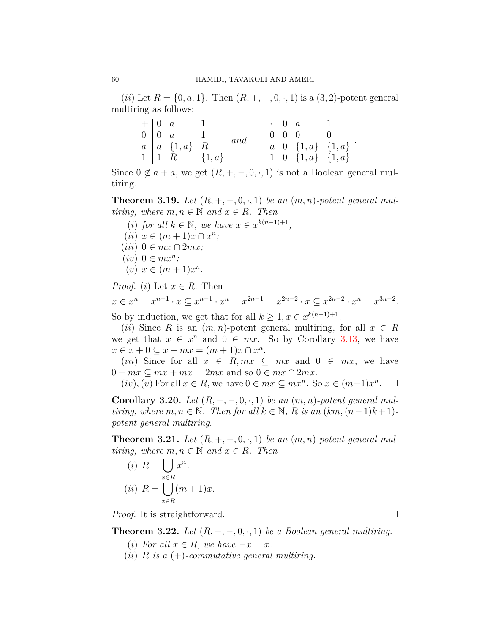$(iii)$  Let  $R = \{0, a, 1\}$ . Then  $(R, +, -, 0, \cdot, 1)$  is a  $(3, 2)$ -potent general multiring as follows:

|  | $+ \begin{vmatrix} 0 & a & 1 \end{vmatrix}$ |     |  | $\cdot$   0 $\alpha$   1                        |                                                                                          |
|--|---------------------------------------------|-----|--|-------------------------------------------------|------------------------------------------------------------------------------------------|
|  | $\overline{0}$   0 $a$ 1                    | and |  | $\boxed{0}$ $\boxed{0}$ $\boxed{0}$ $\boxed{0}$ |                                                                                          |
|  | $a \mid a \in \{1,a\}$ R                    |     |  |                                                 |                                                                                          |
|  | $1   1 R \t{1, a}$                          |     |  |                                                 | $\begin{array}{c cc} a & 0 & \{1,a\} & \{1,a\} \\ 1 & 0 & \{1,a\} & \{1,a\} \end{array}$ |

Since  $0 \notin a + a$ , we get  $(R, +, -, 0, \cdot, 1)$  is not a Boolean general multiring.

**Theorem 3.19.** *Let*  $(R, +, -, 0, \cdot, 1)$  *be an*  $(m, n)$ *-potent general multiring, where*  $m, n \in \mathbb{N}$  *and*  $x \in R$ *. Then* 

- (*i*) *for all*  $k \in \mathbb{N}$ *, we have*  $x \in x^{k(n-1)+1}$ *;*
- $(ii)$   $x \in (m+1)x \cap x^{n}$ ;
- $(iii)$  0  $\in$   $mx \cap 2mx$ ;
- $(iv)$  0  $\in mx^n$ ;
- $(v)$   $x \in (m+1)x^n$ .

*Proof.* (*i*) Let  $x \in R$ . Then

 $x \in x^n = x^{n-1} \cdot x \subseteq x^{n-1} \cdot x^n = x^{2n-1} = x^{2n-2} \cdot x \subseteq x^{2n-2} \cdot x^n = x^{3n-2}.$ 

So by induction, we get that for all  $k \geq 1, x \in \mathbb{R}^{k(n-1)+1}$ .

(*ii*) Since *R* is an  $(m, n)$ -potent general multiring, for all  $x \in R$ we get that  $x \in x^n$  and  $0 \in mx$ . So by Corollary [3.13](#page-8-0), we have  $x \in x + 0 \subseteq x + mx = (m + 1)x \cap x^n$ .

(*iii*) Since for all  $x \in R, mx \subseteq mx$  and  $0 \in mx$ , we have  $0 + mx \subseteq mx + mx = 2mx$  and so  $0 \in mx \cap 2mx$ .

 $(iv)$ ,  $(v)$  For all  $x \in R$ , we have  $0 \in mx \subseteq mx^n$ . So  $x \in (m+1)x^n$ .  $\Box$ 

**Corollary 3.20.** *Let*  $(R, +, -, 0, \cdot, 1)$  *be an*  $(m, n)$ *-potent general multiring, where*  $m, n \in \mathbb{N}$ *. Then for all*  $k \in \mathbb{N}$ *, R is an*  $(km, (n-1)k+1)$ *potent general multiring.*

**Theorem 3.21.** Let  $(R, +, -, 0, \cdot, 1)$  be an  $(m, n)$ -potent general mul*tiring, where*  $m, n \in \mathbb{N}$  *and*  $x \in R$ *. Then* 

(i) 
$$
R = \bigcup_{x \in R} x^n
$$
.  
(ii)  $R = \bigcup_{x \in R} (m+1)x$ .

*Proof.* It is straightforward. □

**Theorem 3.22.** *Let*  $(R, +, -, 0, \cdot, 1)$  *be a Boolean general multiring.* 

- (*i*) For all  $x \in R$ , we have  $-x = x$ .
- (*ii*) *R is a* (+)*-commutative general multiring.*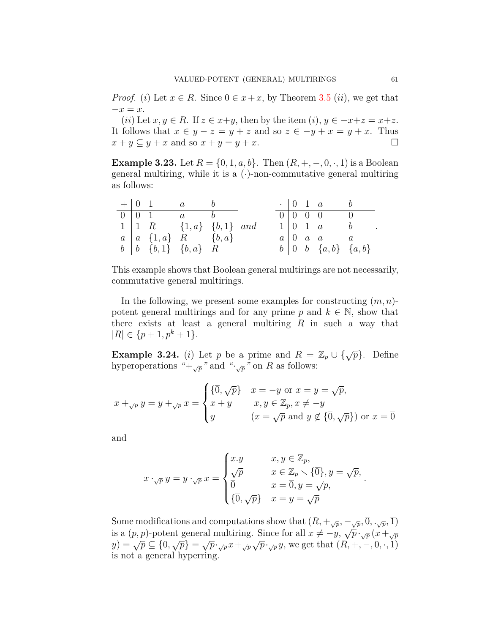*Proof.* (*i*) Let  $x \in R$ . Since  $0 \in x + x$ , by Theorem [3.5](#page-5-0) (*ii*), we get that *−x* = *x*.

 $(iii)$  Let  $x, y \in R$ . If  $z \in x+y$ , then by the item  $(i), y \in -x+z=x+z$ . It follows that  $x \in y - z = y + z$  and so  $z \in -y + x = y + x$ . Thus  $x + y \subseteq y + x$  and so  $x + y = y + x$ .

**Example 3.23.** Let  $R = \{0, 1, a, b\}$ . Then  $(R, +, -, 0, \cdot, 1)$  is a Boolean general multiring, while it is a (*·*)-non-commutative general multiring as follows:

|  | $+ 0 1 a b$                                        |  |  |                                                   |  |
|--|----------------------------------------------------|--|--|---------------------------------------------------|--|
|  | $\begin{array}{ccc} 0 & 0 & 1 & a & b \end{array}$ |  |  | $\begin{array}{cccc} 0 & 0 & 0 & 0 \end{array}$ 0 |  |
|  | $1 \mid 1 \ R$ $\{1,a\} \ \{b,1\}$ and             |  |  | $1 \vert 0 \, 1 \, a \qquad b$                    |  |
|  | $a \mid a \{1,a\}$ R $\{b,a\}$                     |  |  | $a \mid 0$ a a a                                  |  |
|  | $b \mid b \{b,1\} \{b,a\} \mid R$                  |  |  | $b \mid 0 \quad b \quad \{a,b\} \quad \{a,b\}$    |  |

This example shows that Boolean general multirings are not necessarily, commutative general multirings.

In the following, we present some examples for constructing (*m, n*) potent general multirings and for any prime  $p$  and  $k \in \mathbb{N}$ , show that there exists at least a general multiring *R* in such a way that  $|R| \in \{p+1, p^k+1\}.$ 

<span id="page-12-0"></span>**Example 3.24.** (*i*) Let *p* be a prime and  $R = \mathbb{Z}_p \cup \{\sqrt{p}\}\$ . Define hyperoperations  $H + \sqrt{p}$  and  $H + \sqrt{p}$  on *R* as follows:

$$
x +_{\sqrt{p}} y = y +_{\sqrt{p}} x = \begin{cases} \{\overline{0}, \sqrt{p}\} & x = -y \text{ or } x = y = \sqrt{p}, \\ x + y & x, y \in \mathbb{Z}_p, x \neq -y \\ y & (x = \sqrt{p} \text{ and } y \notin \{\overline{0}, \sqrt{p}\}) \text{ or } x = \overline{0} \end{cases}
$$

and

$$
x \cdot_{\sqrt{p}} y = y \cdot_{\sqrt{p}} x = \begin{cases} x.y & x, y \in \mathbb{Z}_p, \\ \sqrt{p} & x \in \mathbb{Z}_p \setminus \{0\}, y = \sqrt{p}, \\ \overline{0} & x = \overline{0}, y = \sqrt{p}, \\ \{\overline{0}, \sqrt{p}\} & x = y = \sqrt{p} \end{cases}.
$$

Some modifications and computations show that  $(R, +\sqrt{p}, -\sqrt{p}, \overline{0}, \cdot\sqrt{p}, \overline{1})$ is a  $(p, p)$ -potent general multiring. Since for all  $x \neq -y$ ,  $\sqrt{p} \cdot \sqrt{p} \cdot (\sqrt{p})(x + \sqrt{p})$  $(y, y) = \sqrt{p} \subseteq \{0, \sqrt{p}\} = \sqrt{p} \cdot \sqrt{p} x + \sqrt{p} \sqrt{p} \cdot \sqrt{p} y$ , we get that  $(R, +, -, 0, \cdot, 1)$ is not a general hyperring.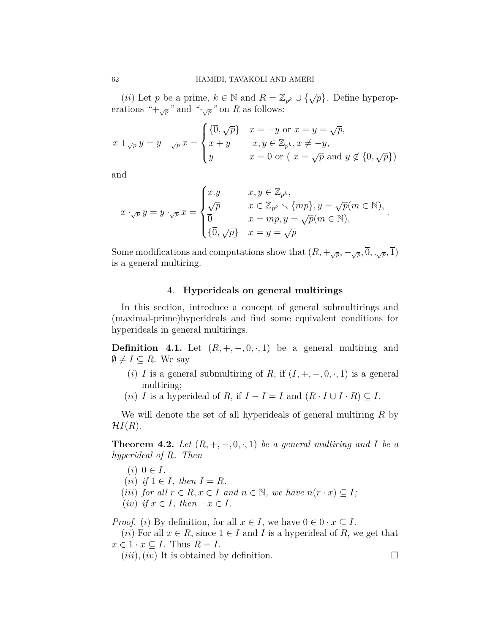(*ii*) Let *p* be a prime,  $k \in \mathbb{N}$  and  $R = \mathbb{Z}_{p^k} \cup {\{\sqrt{p}\}}$ . Define hyperoperations " $+\sqrt{p}$ " and " $\sqrt{p}$ " on *R* as follows:

$$
x +_{\sqrt{p}} y = y +_{\sqrt{p}} x = \begin{cases} \{\overline{0}, \sqrt{p}\} & x = -y \text{ or } x = y = \sqrt{p}, \\ x + y & x, y \in \mathbb{Z}_{p^k}, x \neq -y, \\ y & x = \overline{0} \text{ or } (x = \sqrt{p} \text{ and } y \notin \{\overline{0}, \sqrt{p}\}) \end{cases}
$$

and

$$
x \cdot_{\sqrt{p}} y = y \cdot_{\sqrt{p}} x = \begin{cases} x \cdot y & x, y \in \mathbb{Z}_{p^k}, \\ \sqrt{p} & x \in \mathbb{Z}_{p^k} \smallsetminus \{mp\}, y = \sqrt{p}(m \in \mathbb{N}), \\ \overline{0} & x = mp, y = \sqrt{p}(m \in \mathbb{N}), \\ \{\overline{0}, \sqrt{p}\} & x = y = \sqrt{p} \end{cases}.
$$

Some modifications and computations show that  $(R, +\sqrt{p}, -\sqrt{p}, \overline{0}, \cdot\sqrt{p}, \overline{1})$ is a general multiring.

# 4. **Hyperideals on general multirings**

In this section, introduce a concept of general submultirings and (maximal-prime)hyperideals and find some equivalent conditions for hyperideals in general multirings.

**Definition 4.1.** Let  $(R, +, -, 0, \cdot, 1)$  be a general multiring and  $\emptyset$  ≠ *I* ⊆ *R*. We say

- (*i*) *I* is a general submultiring of *R*, if  $(I, +, -, 0, \cdot, 1)$  is a general multiring;
- (*ii*) *I* is a hyperideal of *R*, if  $I I = I$  and  $(R \cdot I \cup I \cdot R) \subseteq I$ .

We will denote the set of all hyperideals of general multiring *R* by  $\mathcal{H}I(R)$ .

**Theorem 4.2.** *Let*  $(R, +, -, 0, \cdot, 1)$  *be a general multiring and I be a hyperideal of R. Then*

- $(i)$  0  $\in$  *I*.
- $(ii)$  *if*  $1 \in I$ *, then*  $I = R$ *.*
- (*iii*) *for all*  $r \in R$ ,  $x \in I$  *and*  $n \in \mathbb{N}$ , we have  $n(r \cdot x) \subseteq I$ ;
- $(iv)$  *if*  $x \in I$ *, then*  $-x \in I$ *.*

*Proof.* (*i*) By definition, for all  $x \in I$ , we have  $0 \in 0 \cdot x \subseteq I$ .

(*ii*) For all  $x \in R$ , since  $1 \in I$  and *I* is a hyperideal of *R*, we get that  $x \in 1 \cdot x \subseteq I$ . Thus  $R = I$ .

 $(iii)$ ,  $(iv)$  It is obtained by definition.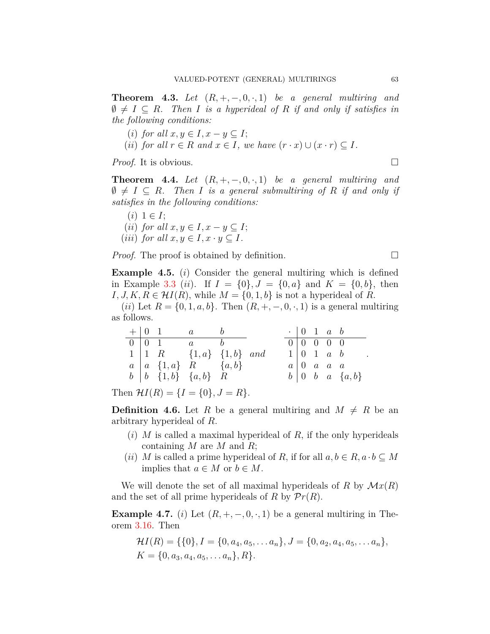**Theorem 4.3.** Let  $(R, +, -, 0, \cdot, 1)$  be a general multiring and  $\emptyset \neq I \subseteq R$ . Then *I* is a hyperideal of *R* if and only if satisfies in *the following conditions:*

- (*i*) *for all*  $x, y \in I, x y \subseteq I$ ;
- $(iii)$  *for all*  $r \in R$  *and*  $x \in I$ *, we have*  $(r \cdot x) \cup (x \cdot r) \subseteq I$ *.*

*Proof.* It is obvious. □

**Theorem 4.4.** Let  $(R, +, -, 0, \cdot, 1)$  be a general multiring and  $\emptyset \neq I \subseteq R$ *. Then I is a general submultiring of R if and only if satisfies in the following conditions:*

 $(i)$  1  $\in$  *I*;  $(iii)$  *for all*  $x, y \in I, x - y \subseteq I;$  $(iii)$  *for all*  $x, y \in I, x \cdot y \subset I$ .

*Proof.* The proof is obtained by definition. □

<span id="page-14-0"></span>**Example 4.5.** (*i*) Consider the general multiring which is defined in Example [3.3](#page-4-0) (*ii*). If  $I = \{0\}$ ,  $J = \{0, a\}$  and  $K = \{0, b\}$ , then *I, J, K, R* ∈  $\mathcal{H}I(R)$ , while  $M = \{0, 1, b\}$  is not a hyperideal of *R*.

(*ii*) Let  $R = \{0, 1, a, b\}$ . Then  $(R, +, -, 0, \cdot, 1)$  is a general multiring as follows.

|  | $+ 0 1 a b$                              |  | $\cdot$   0 1 a b               |  |                                           |
|--|------------------------------------------|--|---------------------------------|--|-------------------------------------------|
|  | $0 \mid 0 \quad 1$ a b                   |  | $0 \mid 0 \mid 0 \mid 0 \mid 0$ |  |                                           |
|  | $1 \mid 1 \ R$ $\{1, a\}$ $\{1, b\}$ and |  |                                 |  | $1 \vert 0 \; 1 \; a \; b$                |
|  | $a \mid a \{1,a\}$ R $\{a,b\}$           |  |                                 |  | $a \mid 0$ a a a                          |
|  | $b \mid b \in \{1,b\}$ $\{a,b\}$ R       |  |                                 |  | $b \mid 0 \quad b \quad a \quad \{a, b\}$ |

Then  $\mathcal{H}I(R) = \{I = \{0\}, J = R\}.$ 

**Definition 4.6.** Let R be a general multiring and  $M \neq R$  be an arbitrary hyperideal of *R*.

- (*i*) *M* is called a maximal hyperideal of *R*, if the only hyperideals containing *M* are *M* and *R*;
- (*ii*) *M* is called a prime hyperideal of *R*, if for all  $a, b \in R$ ,  $a \cdot b \subseteq M$ implies that  $a \in M$  or  $b \in M$ .

We will denote the set of all maximal hyperideals of  $R$  by  $\mathcal{M}x(R)$ and the set of all prime hyperideals of *R* by  $\mathcal{P}r(R)$ .

**Example 4.7.** (*i*) Let  $(R, +, -, 0, \cdot, 1)$  be a general multiring in Theorem [3.16.](#page-9-0) Then

$$
\mathcal{H}I(R) = \{\{0\}, I = \{0, a_4, a_5, \dots a_n\}, J = \{0, a_2, a_4, a_5, \dots a_n\},
$$
  

$$
K = \{0, a_3, a_4, a_5, \dots a_n\}, R\}.
$$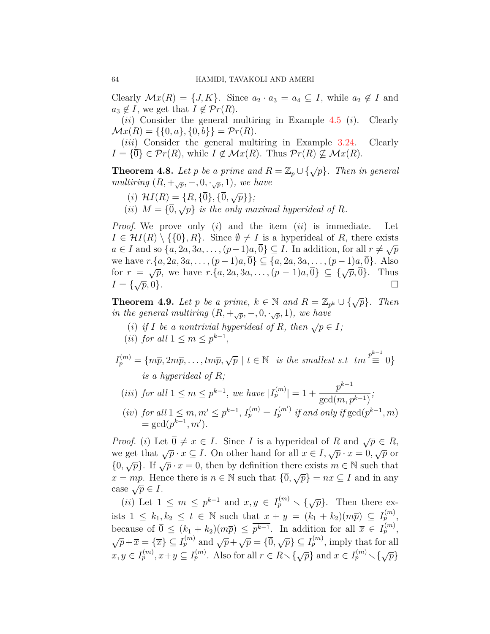Clearly  $\mathcal{M}x(R) = \{J, K\}$ . Since  $a_2 \cdot a_3 = a_4 \subseteq I$ , while  $a_2 \notin I$  and  $a_3 \notin I$ , we get that  $I \notin \mathcal{P}r(R)$ .

(*ii*) Consider the general multiring in Example [4.5](#page-14-0) (*i*). Clearly  $\mathcal{M}x(R) = \{\{0, a\}, \{0, b\}\} = \mathcal{P}r(R).$ 

(*iii*) Consider the general multiring in Example [3.24](#page-12-0). Clearly  $I = {\overline{0}} \in \mathcal{P}_r(R)$ , while  $I \notin \mathcal{M}_x(R)$ . Thus  $\mathcal{P}_r(R) \nsubseteq \mathcal{M}_x(R)$ .

**Theorem 4.8.** *Let p be a prime and*  $R = \mathbb{Z}_p \cup \{\sqrt{p}\}\$ . *Then in general multiring*  $(R, +\sqrt{p}, -, 0, \cdot\sqrt{p}, 1)$ *, we have* 

- $(i)$   $\mathcal{H}I(R) = \{R, \{\overline{0}\}, \{\overline{0}, \sqrt{p}\}\};$
- (*ii*)  $M = {\overline{0}, \sqrt{p}}$  *is the only maximal hyperideal of R.*

*Proof.* We prove only (*i*) and the item (*ii*) is immediate. Let  $I \in \mathcal{H}I(R) \setminus {\{\overline{0}\},R\}}$ . Since  $\emptyset \neq I$  is a hyperideal of *R*, there exists *a*  $\in$  *I* and so  $\{a, 2a, 3a, \ldots, (p-1)a, \overline{0}\} \subseteq I$ . In addition, for all  $r \neq \sqrt{p}$ we have  $r.\{a, 2a, 3a, \ldots, (p-1)a, \overline{0}\}$  ⊆  $\{a, 2a, 3a, \ldots, (p-1)a, \overline{0}\}$ . Also for  $r = \sqrt{p}$ , we have  $r.\{a, 2a, 3a, \ldots, (p-1)a, \overline{0}\} \subseteq {\sqrt{p}, \overline{0}}$ . Thus  $I = \{\sqrt{p}, 0\}.$  $\sqrt{p}$ , we have  $\cdot \cdot \cdot$  (a, 2a, 3a, ..., (p  $\cdot \cdot \cdot$  1)a,  $\cdot \cdot \cdot$   $\cdot \cdot \cdot$  =  $\cdot \cdot \cdot \cdot \cdot \cdot \cdot$  1 mas

<span id="page-15-0"></span>**Theorem 4.9.** *Let p be a prime,*  $k \in \mathbb{N}$  *and*  $R = \mathbb{Z}_{p^k} \cup \{\sqrt{p}\}$ *. Then in the general multiring*  $(R, +\sqrt{p}, -\sqrt{p}, 1)$ *, we have* 

- (*i*) *if I be a nontrivial hyperideal of R, then*  $\sqrt{p} \in I$ *;*
- $(iii)$  *for all*  $1 \leq m \leq p^{k-1}$ ,

 $I_p^{(m)} = \{m\overline{p}, 2m\overline{p}, \ldots, tm\overline{p}, \sqrt{p} \mid t \in \mathbb{N} \text{ is the smallest s.t } tm \stackrel{p^{k-1}}{\equiv} 0 \}$ *is a hyperideal of R;*

 $(iii)$  *for all*  $1 \le m \le p^{k-1}$ , *we have*  $|I_p^{(m)}| = 1 + p$ *p k−*1  $gcd(m, p^{k-1})$ *;* (iv) for all  $1 \leq m, m' \leq p^{k-1}, I_p^{(m)} = I_p^{(m')}$  if and only if  $gcd(p^{k-1}, m)$  $=$  gcd( $p^{k-1}, m'$ ).

*Proof.* (*i*) Let  $\overline{0} \neq x \in I$ . Since *I* is a hyperideal of *R* and  $\sqrt{p} \in R$ , we get that  $\sqrt{p} \cdot x \subseteq I$ . On other hand for all  $x \in I$ ,  $\sqrt{p} \cdot x = \overline{0}$ ,  $\sqrt{p}$  or  $\{\overline{0}, \sqrt{p}\}$ . If  $\sqrt{p} \cdot x = \overline{0}$ , then by definition there exists  $m \in \mathbb{N}$  such that  $x = mp$ . Hence there is  $n \in \mathbb{N}$  such that  ${\overline{0}, \sqrt{p}} = nx \subseteq I$  and in any case  $\sqrt{p} \in I$ .

 $(i)$  Let  $1 \leq m \leq p^{k-1}$  and  $x, y \in I_p^{(m)} \setminus {\{\sqrt{p}\}}$ . Then there exists  $1 \leq k_1, k_2 \leq t \in \mathbb{N}$  such that  $x + y = (k_1 + k_2)(m\overline{p}) \subseteq I_p^{(m)}$ , because of  $\overline{0} \leq (k_1 + k_2)(m\overline{p}) \leq \overline{p^{k-1}}$ . In addition for all  $\overline{x} \in I_p^{(m)}$ ,  $\sqrt{p} + \overline{x} = {\overline{x}} \subseteq I_p^{(m)}$  and  $\sqrt{p} + \sqrt{p} = {\overline{0}}, \sqrt{p} \subseteq I_p^{(m)}$ , imply that for all  $x, y \in I_p^{(m)}, x+y \subseteq I_p^{(m)}$ . Also for all  $r \in R \setminus {\sqrt{p}}$  and  $x \in I_p^{(m)} \setminus {\sqrt{p}}$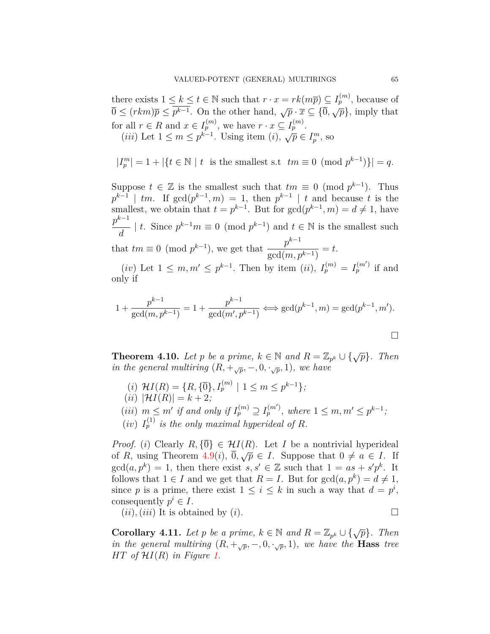there exists  $1 \leq k \leq t \in \mathbb{N}$  such that  $r \cdot x = rk(m\overline{p}) \subseteq I_p^{(m)}$ , because of  $\overline{0} \leq (rkm)\overline{p} \leq p^{k-1}$ . On the other hand,  $\sqrt{p} \cdot \overline{x} \subseteq {\overline{0}, \sqrt{p}}$ , imply that for all  $r \in R$  and  $x \in I_p^{(m)}$ , we have  $r \cdot x \subseteq I_p^{(m)}$ . (*iii*) Let  $1 \le m \le p^{k-1}$ . Using item (*i*),  $\sqrt{p} \in I_p^m$ , so

$$
|I_p^m| = 1 + |\{t \in \mathbb{N} \mid t \text{ is the smallest s.t } tm \equiv 0 \pmod{p^{k-1}}\}| = q.
$$

Suppose  $t \in \mathbb{Z}$  is the smallest such that  $tm \equiv 0 \pmod{p^{k-1}}$ . Thus  $p^{k-1}$  | *tm*. If  $gcd(p^{k-1}, m) = 1$ , then  $p^{k-1}$  | *t* and because *t* is the smallest, we obtain that  $t = p^{k-1}$ . But for  $gcd(p^{k-1}, m) = d \neq 1$ , have *p k−*1 *d*  $|t|$ . Since  $p^{k-1}m \equiv 0 \pmod{p^{k-1}}$  and  $t \in \mathbb{N}$  is the smallest such that  $tm \equiv 0 \pmod{p^{k-1}}$ , we get that  $\frac{p^{k-1}}{p^k}$  $gcd(m, p^{k-1})$  $=$   $t$ .  $(iv)$  Let  $1 \leq m, m' \leq p^{k-1}$ . Then by item  $(ii)$ ,  $I_p^{(m)} = I_p^{(m')}$  if and only if

$$
1 + \frac{p^{k-1}}{\gcd(m, p^{k-1})} = 1 + \frac{p^{k-1}}{\gcd(m', p^{k-1})} \Longleftrightarrow \gcd(p^{k-1}, m) = \gcd(p^{k-1}, m').
$$

**Theorem 4.10.** *Let p be a prime,*  $k \in \mathbb{N}$  *and*  $R = \mathbb{Z}_{p^k} \cup \{\sqrt{p}\}$ *. Then in the general multiring*  $(R, +\sqrt{p}, -, 0, \cdot\sqrt{p}, 1)$ *, we have* 

- $(i)$   $\mathcal{H}I(R) = \{R, \{\overline{0}\}, I_p^{(m)} \mid 1 \leq m \leq p^{k-1}\};$  $(iii) |H I(R)| = k + 2;$
- (iii)  $m \leq m'$  if and only if  $I_p^{(m)} \supseteq I_p^{(m')}$ , where  $1 \leq m, m' \leq p^{k-1}$ ;
- $(iv)$   $I_p^{(1)}$  *is the only maximal hyperideal of R.*

*Proof.* (*i*) Clearly  $R, \{\overline{0}\} \in \mathcal{H}I(R)$ . Let *I* be a nontrivial hyperideal of *R*, using Theorem  $4.9(i)$  $4.9(i)$ ,  $\overline{0}$ ,  $\sqrt{p} \in I$ . Suppose that  $0 \neq a \in I$ . If  $gcd(a, p^k) = 1$ , then there exist  $s, s' \in \mathbb{Z}$  such that  $1 = as + s'p^k$ . It follows that  $1 \in I$  and we get that  $R = I$ . But for  $gcd(a, p^k) = d \neq 1$ , since *p* is a prime, there exist  $1 \leq i \leq k$  in such a way that  $d = p^i$ , consequently  $p^i \in I$ .

 $(iii)$ ,  $(iii)$  It is obtained by  $(i)$ .

**Corollary 4.11.** *Let p be a prime,*  $k \in \mathbb{N}$  *and*  $R = \mathbb{Z}_{p^k} \cup \{\sqrt{p}\}$ *. Then in the general multiring*  $(R, +\sqrt{p}, -\sqrt{p}, 1)$ *, we have the* **Hass** *tree HT of*  $H_I(R)$  *in Figure* [1](#page-17-0).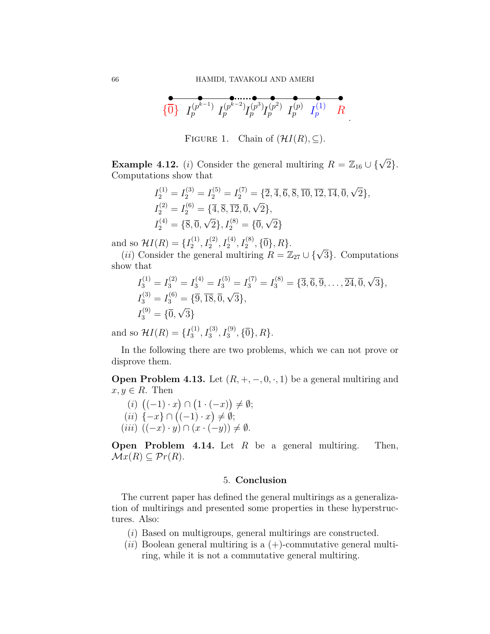$$
\begin{array}{ccccc}\n\bullet & \bullet & \bullet & \bullet & \bullet & \bullet \\
\{\overline{0}\} & I_p^{(p^{k-1})} & I_p^{(p^{k-2})} & I_p^{(p^3)} & I_p^{(p)} & I_p^{(p)} & I_p^{(1)} & R\n\end{array}
$$

*.*

<span id="page-17-0"></span>FIGURE 1. Chain of  $(HI(R), \subseteq)$ .

**Example 4.12.** (*i*) Consider the general multiring  $R = \mathbb{Z}_{16} \cup {\sqrt{2}}$ . Computations show that

$$
I_2^{(1)} = I_2^{(3)} = I_2^{(5)} = I_2^{(7)} = \{2, 4, 6, 8, 10, 12, 14, 0, \sqrt{2}\},
$$
  
\n
$$
I_2^{(2)} = I_2^{(6)} = \{\overline{4}, \overline{8}, \overline{12}, \overline{0}, \sqrt{2}\},
$$
  
\n
$$
I_2^{(4)} = \{\overline{8}, \overline{0}, \sqrt{2}\}, I_2^{(8)} = \{\overline{0}, \sqrt{2}\}
$$

and so  $\mathcal{H}I(R) = \{I_2^{(1)}\}$ 

d so  $H I(R) = \{I_2^{(1)}, I_2^{(2)}, I_2^{(4)}, I_2^{(8)}, \{\bar{0}\}, R\}$ .<br>
(*ii*) Consider the general multiring  $R = \mathbb{Z}_{27} \cup \{\sqrt{3}\}$ . Computations show that

$$
I_3^{(1)} = I_3^{(2)} = I_3^{(4)} = I_3^{(5)} = I_3^{(7)} = I_3^{(8)} = \{3, \overline{6}, 9, \dots, 24, 0, \sqrt{3}\},
$$
  
\n
$$
I_3^{(3)} = I_3^{(6)} = \{\overline{9}, \overline{18}, \overline{0}, \sqrt{3}\},
$$
  
\n
$$
I_3^{(9)} = \{\overline{0}, \sqrt{3}\}
$$

and so  $\mathcal{H}I(R) = \{I_3^{(1)}\}$  $I_3^{(1)}, I_3^{(3)}, I_3^{(9)}, \{\overline{0}\}, R\}.$ 

In the following there are two problems, which we can not prove or disprove them.

**Open Problem 4.13.** Let  $(R, +, -, 0, \cdot, 1)$  be a general multiring and  $x, y \in R$ . Then

$$
(i) ((-1) \cdot x) \cap (1 \cdot (-x)) \neq \emptyset;
$$
  
\n
$$
(ii) { -x } \cap ((-1) \cdot x) \neq \emptyset;
$$
  
\n
$$
(iii) ((-x) \cdot y) \cap (x \cdot (-y)) \neq \emptyset.
$$

**Open Problem 4.14.** Let *R* be a general multiring. Then,  $\mathcal{M}x(R) \subseteq \mathcal{P}r(R).$ 

## 5. **Conclusion**

The current paper has defined the general multirings as a generalization of multirings and presented some properties in these hyperstructures. Also:

- (*i*) Based on multigroups, general multirings are constructed.
- $(ii)$  Boolean general multiring is a  $(+)$ -commutative general multiring, while it is not a commutative general multiring.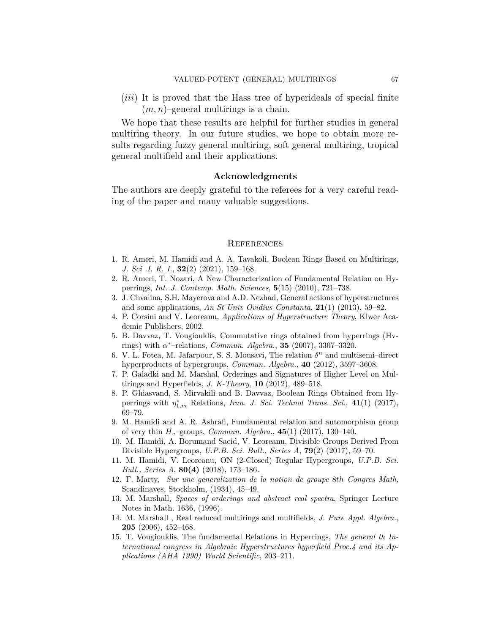(*iii*) It is proved that the Hass tree of hyperideals of special finite  $(m, n)$ –general multirings is a chain.

We hope that these results are helpful for further studies in general multiring theory. In our future studies, we hope to obtain more results regarding fuzzy general multiring, soft general multiring, tropical general multifield and their applications.

## **Acknowledgments**

The authors are deeply grateful to the referees for a very careful reading of the paper and many valuable suggestions.

#### **REFERENCES**

- <span id="page-18-11"></span>1. R. Ameri, M. Hamidi and A. A. Tavakoli, Boolean Rings Based on Multirings, *J. Sci .I. R. I.*, **32**(2) (2021), 159–168.
- <span id="page-18-4"></span>2. R. Ameri, T. Nozari, A New Characterization of Fundamental Relation on Hyperrings, *Int. J. Contemp. Math. Sciences*, **5**(15) (2010), 721–738.
- <span id="page-18-1"></span>3. J. Chvalina, S.H. Mayerova and A.D. Nezhad, General actions of hyperstructures and some applications, *An St Univ Ovidius Constanta*, **21**(1) (2013), 59–82.
- <span id="page-18-2"></span>4. P. Corsini and V. Leoreanu, *Applications of Hyperstructure Theory*, Klwer Academic Publishers, 2002.
- <span id="page-18-5"></span>5. B. Davvaz, T. Vougiouklis, Commutative rings obtained from hyperrings (Hvrings) with *α <sup>∗</sup>*–relations, *Commun. Algebra.*, **35** (2007), 3307–3320.
- <span id="page-18-6"></span>6. V. L. Fotea, M. Jafarpour, S. S. Mousavi, The relation  $\delta^n$  and multisemi-direct hyperproducts of hypergroups, *Commun. Algebra.*, **40** (2012), 3597–3608.
- <span id="page-18-12"></span>7. P. Galadki and M. Marshal, Orderings and Signatures of Higher Level on Multirings and Hyperfields, *J. K-Theory*, **10** (2012), 489–518.
- <span id="page-18-7"></span>8. P. Ghiasvand, S. Mirvakili and B. Davvaz, Boolean Rings Obtained from Hyperrings with *η ∗* <sup>1</sup>*,m* Relations, *Iran. J. Sci. Technol Trans. Sci.*, **41**(1) (2017), 69–79.
- <span id="page-18-8"></span>9. M. Hamidi and A. R. Ashrafi, Fundamental relation and automorphism group of very thin *Hv*–groups, *Commun. Algebra.*, **45**(1) (2017), 130–140.
- <span id="page-18-9"></span>10. M. Hamidi, A. Borumand Saeid, V. Leoreanu, Divisible Groups Derived From Divisible Hypergroups, *U.P.B. Sci. Bull., Series A*, **79**(2) (2017), 59–70.
- <span id="page-18-10"></span>11. M. Hamidi, V. Leoreanu, ON (2-Closed) Regular Hypergroups, *U.P.B. Sci. Bull., Series A*, **80(4)** (2018), 173–186.
- <span id="page-18-0"></span>12. F. Marty, *Sur une generalization de la notion de groupe* 8*th Congres Math*, Scandinaves, Stockholm, (1934), 45–49.
- <span id="page-18-13"></span>13. M. Marshall, *Spaces of orderings and abstract real spectra*, Springer Lecture Notes in Math. 1636, (1996).
- <span id="page-18-3"></span>14. M. Marshall , Real reduced multirings and multifields, *J. Pure Appl. Algebra.*, **205** (2006), 452–468.
- <span id="page-18-14"></span>15. T. Vougiouklis, The fundamental Relations in Hyperrings, *The general th International congress in Algebraic Hyperstructures hyperfield Proc.4 and its Applications (AHA 1990) World Scientific*, 203–211.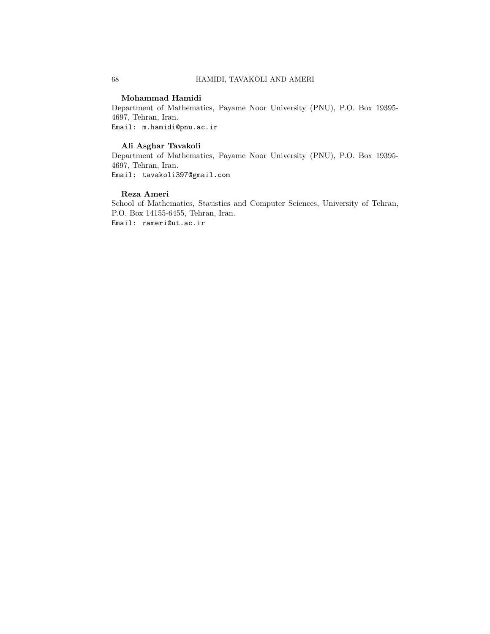#### **Mohammad Hamidi**

Department of Mathematics, Payame Noor University (PNU), P.O. Box 19395- 4697, Tehran, Iran. Email: m.hamidi@pnu.ac.ir

#### **Ali Asghar Tavakoli**

Department of Mathematics, Payame Noor University (PNU), P.O. Box 19395- 4697, Tehran, Iran. Email: tavakoli397@gmail.com

## **Reza Ameri**

School of Mathematics, Statistics and Computer Sciences, University of Tehran, P.O. Box 14155-6455, Tehran, Iran. Email: rameri@ut.ac.ir